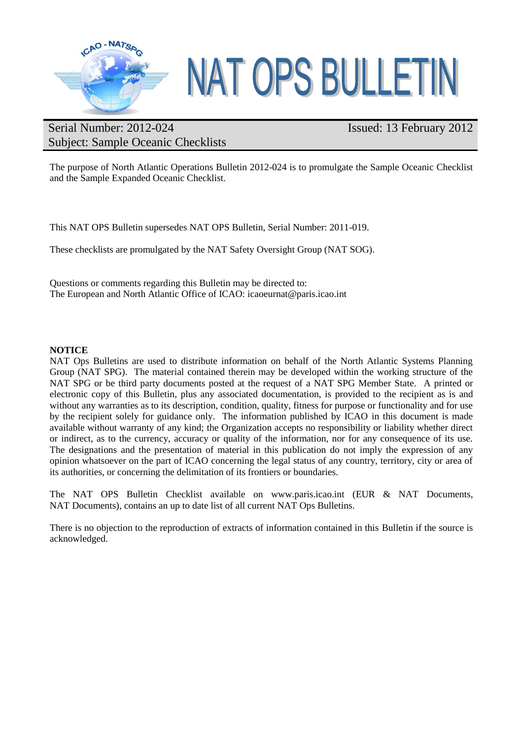

# **NAT OPS BULLETIN**

## Serial Number: 2012-024 Subject: Sample Oceanic Checklists

# Issued: 13 February 2012

The purpose of North Atlantic Operations Bulletin 2012-024 is to promulgate the Sample Oceanic Checklist and the Sample Expanded Oceanic Checklist.

This NAT OPS Bulletin supersedes NAT OPS Bulletin, Serial Number: 2011-019.

These checklists are promulgated by the NAT Safety Oversight Group (NAT SOG).

Questions or comments regarding this Bulletin may be directed to: The European and North Atlantic Office of ICAO: icaoeurnat@paris.icao.int

#### **NOTICE**

NAT Ops Bulletins are used to distribute information on behalf of the North Atlantic Systems Planning Group (NAT SPG). The material contained therein may be developed within the working structure of the NAT SPG or be third party documents posted at the request of a NAT SPG Member State. A printed or electronic copy of this Bulletin, plus any associated documentation, is provided to the recipient as is and without any warranties as to its description, condition, quality, fitness for purpose or functionality and for use by the recipient solely for guidance only. The information published by ICAO in this document is made available without warranty of any kind; the Organization accepts no responsibility or liability whether direct or indirect, as to the currency, accuracy or quality of the information, nor for any consequence of its use. The designations and the presentation of material in this publication do not imply the expression of any opinion whatsoever on the part of ICAO concerning the legal status of any country, territory, city or area of its authorities, or concerning the delimitation of its frontiers or boundaries.

The NAT OPS Bulletin Checklist available on www.paris.icao.int (EUR & NAT Documents, NAT Documents), contains an up to date list of all current NAT Ops Bulletins.

There is no objection to the reproduction of extracts of information contained in this Bulletin if the source is acknowledged.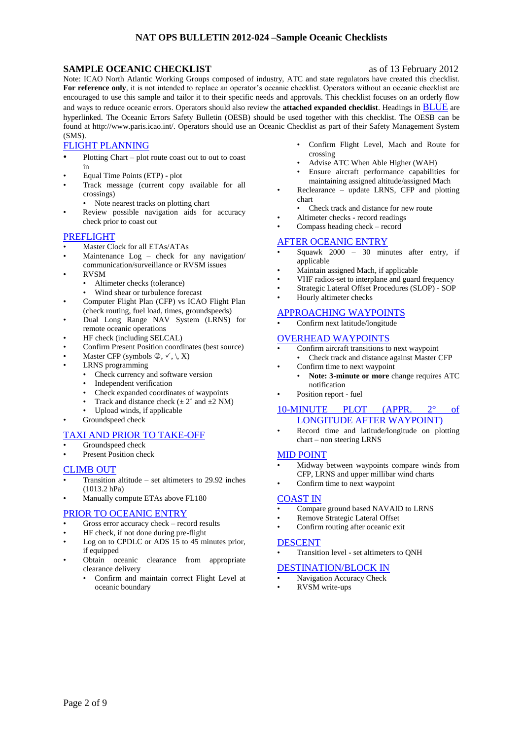#### **SAMPLE OCEANIC CHECKLIST** as of 13 February 2012

Note: ICAO North Atlantic Working Groups composed of industry, ATC and state regulators have created this checklist. **For reference only**, it is not intended to replace an operator's oceanic checklist. Operators without an oceanic checklist are encouraged to use this sample and tailor it to their specific needs and approvals. This checklist focuses on an orderly flow and ways to reduce oceanic errors. Operators should also review the **attached expanded checklist**. Headings in BLUE are hyperlinked. The Oceanic Errors Safety Bulletin (OESB) should be used together with this checklist. The OESB can be found at http://www.paris.icao.int/. Operators should use an Oceanic Checklist as part of their Safety Management System (SMS).

#### [FLIGHT PLANNING](#page-2-0)

- Plotting Chart plot route coast out to out to coast in
- Equal Time Points (ETP) plot
- Track message (current copy available for all crossings)
	- Note nearest tracks on plotting chart
- Review possible navigation aids for accuracy check prior to coast out

#### [PREFLIGHT](#page-2-1)

- Master Clock for all ETAs/ATAs
- Maintenance Log check for any navigation/ communication/surveillance or RVSM issues
- RVSM
	- Altimeter checks (tolerance)
	- Wind shear or turbulence forecast
- Computer Flight Plan (CFP) vs ICAO Flight Plan
- (check routing, fuel load, times, groundspeeds) • Dual Long Range NAV System (LRNS) for remote oceanic operations
- HF check (including SELCAL)
- Confirm Present Position coordinates (best source)
- Master CFP (symbols  $\mathcal{D}, \checkmark, \checkmark, X$ )
- LRNS programming
	- Check currency and software version
	- Independent verification
	- Check expanded coordinates of waypoints
	- Track and distance check ( $\pm 2^{\circ}$  and  $\pm 2$  NM)
	- Upload winds, if applicable
- Groundspeed check

#### [TAXI AND PRIOR TO TAKE-OFF](#page-4-0)

- Groundspeed check
- Present Position check

#### [CLIMB OUT](#page-5-0)

- Transition altitude  $-$  set altimeters to 29.92 inches (1013.2 hPa)
- Manually compute ETAs above FL180

#### [PRIOR TO OCEANIC ENTRY](#page-5-1)

- Gross error accuracy check record results
- HF check, if not done during pre-flight
- Log on to CPDLC or ADS 15 to 45 minutes prior, if equipped
- Obtain oceanic clearance from appropriate clearance delivery
	- Confirm and maintain correct Flight Level at oceanic boundary
- Confirm Flight Level, Mach and Route for crossing
- Advise ATC When Able Higher (WAH)
- Ensure aircraft performance capabilities for maintaining assigned altitude/assigned Mach
- Reclearance update LRNS, CFP and plotting chart
	- Check track and distance for new route
- Altimeter checks record readings
- Compass heading check record

#### [AFTER OCEANIC ENTRY](#page-6-0)

- Squawk 2000 30 minutes after entry, if applicable
- Maintain assigned Mach, if applicable
- VHF radios-set to interplane and guard frequency
- Strategic Lateral Offset Procedures (SLOP) SOP
- Hourly altimeter checks

#### [APPROACHING WAYPOINTS](#page-6-1)

• Confirm next latitude/longitude

#### [OVERHEAD WAYPOINTS](#page-6-2)

- Confirm aircraft transitions to next waypoint
	- Check track and distance against Master CFP
	- Confirm time to next waypoint
		- **Note: 3-minute or more** change requires ATC notification
- Position report fuel

#### [10-MINUTE PLOT \(APPR. 2° of](#page-7-0)  [LONGITUDE AFTER WAYPOINT\)](#page-7-0)

• Record time and latitude/longitude on plotting chart – non steering LRNS

#### [MID POINT](#page-7-1)

- Midway between waypoints compare winds from CFP, LRNS and upper millibar wind charts
- Confirm time to next waypoint

#### [COAST IN](#page-7-2)

- Compare ground based NAVAID to LRNS
- Remove Strategic Lateral Offset
- Confirm routing after oceanic exit

#### [DESCENT](#page-8-0)

• Transition level - set altimeters to QNH

#### [DESTINATION/BLOCK IN](#page-8-1)

- Navigation Accuracy Check
- RVSM write-ups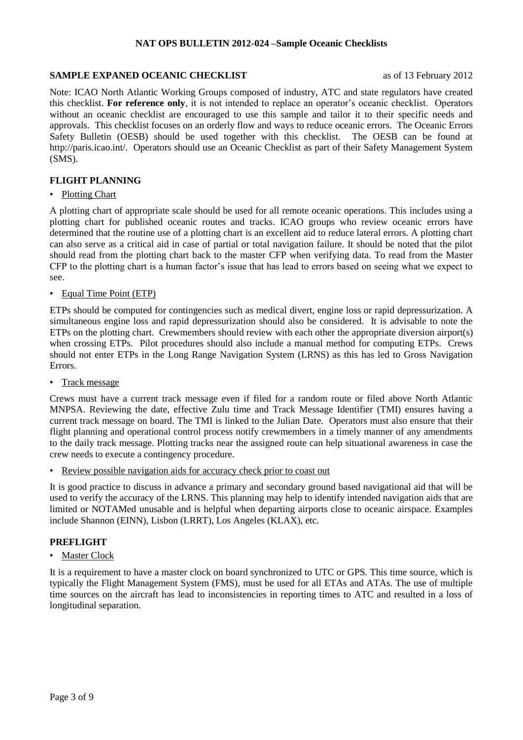#### **SAMPLE EXPANED OCEANIC CHECKLIST** as of 13 February 2012

Note: ICAO North Atlantic Working Groups composed of industry, ATC and state regulators have created this checklist. **For reference only**, it is not intended to replace an operator's oceanic checklist. Operators without an oceanic checklist are encouraged to use this sample and tailor it to their specific needs and approvals. This checklist focuses on an orderly flow and ways to reduce oceanic errors. The Oceanic Errors Safety Bulletin (OESB) should be used together with this checklist. The OESB can be found at http://paris.icao.int/. Operators should use an Oceanic Checklist as part of their Safety Management System (SMS).

#### <span id="page-2-0"></span>**FLIGHT PLANNING**

#### • Plotting Chart

A plotting chart of appropriate scale should be used for all remote oceanic operations. This includes using a plotting chart for published oceanic routes and tracks. ICAO groups who review oceanic errors have determined that the routine use of a plotting chart is an excellent aid to reduce lateral errors. A plotting chart can also serve as a critical aid in case of partial or total navigation failure. It should be noted that the pilot should read from the plotting chart back to the master CFP when verifying data. To read from the Master CFP to the plotting chart is a human factor's issue that has lead to errors based on seeing what we expect to see.

#### • Equal Time Point (ETP)

ETPs should be computed for contingencies such as medical divert, engine loss or rapid depressurization. A simultaneous engine loss and rapid depressurization should also be considered. It is advisable to note the ETPs on the plotting chart. Crewmembers should review with each other the appropriate diversion airport(s) when crossing ETPs. Pilot procedures should also include a manual method for computing ETPs. Crews should not enter ETPs in the Long Range Navigation System (LRNS) as this has led to Gross Navigation Errors.

• Track message

Crews must have a current track message even if filed for a random route or filed above North Atlantic MNPSA. Reviewing the date, effective Zulu time and Track Message Identifier (TMI) ensures having a current track message on board. The TMI is linked to the Julian Date. Operators must also ensure that their flight planning and operational control process notify crewmembers in a timely manner of any amendments to the daily track message. Plotting tracks near the assigned route can help situational awareness in case the crew needs to execute a contingency procedure.

• Review possible navigation aids for accuracy check prior to coast out

It is good practice to discuss in advance a primary and secondary ground based navigational aid that will be used to verify the accuracy of the LRNS. This planning may help to identify intended navigation aids that are limited or NOTAMed unusable and is helpful when departing airports close to oceanic airspace. Examples include Shannon (EINN), Lisbon (LRRT), Los Angeles (KLAX), etc.

### <span id="page-2-1"></span>**PREFLIGHT**

• Master Clock

It is a requirement to have a master clock on board synchronized to UTC or GPS. This time source, which is typically the Flight Management System (FMS), must be used for all ETAs and ATAs. The use of multiple time sources on the aircraft has lead to inconsistencies in reporting times to ATC and resulted in a loss of longitudinal separation.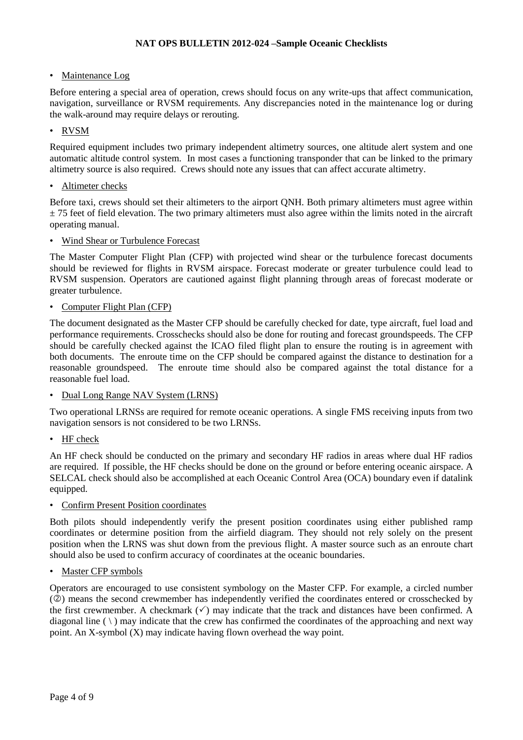• Maintenance Log

Before entering a special area of operation, crews should focus on any write-ups that affect communication, navigation, surveillance or RVSM requirements. Any discrepancies noted in the maintenance log or during the walk-around may require delays or rerouting.

#### • RVSM

Required equipment includes two primary independent altimetry sources, one altitude alert system and one automatic altitude control system. In most cases a functioning transponder that can be linked to the primary altimetry source is also required. Crews should note any issues that can affect accurate altimetry.

• Altimeter checks

Before taxi, crews should set their altimeters to the airport QNH. Both primary altimeters must agree within  $\pm$  75 feet of field elevation. The two primary altimeters must also agree within the limits noted in the aircraft operating manual.

• Wind Shear or Turbulence Forecast

The Master Computer Flight Plan (CFP) with projected wind shear or the turbulence forecast documents should be reviewed for flights in RVSM airspace. Forecast moderate or greater turbulence could lead to RVSM suspension. Operators are cautioned against flight planning through areas of forecast moderate or greater turbulence.

#### • Computer Flight Plan (CFP)

The document designated as the Master CFP should be carefully checked for date, type aircraft, fuel load and performance requirements. Crosschecks should also be done for routing and forecast groundspeeds. The CFP should be carefully checked against the ICAO filed flight plan to ensure the routing is in agreement with both documents. The enroute time on the CFP should be compared against the distance to destination for a reasonable groundspeed. The enroute time should also be compared against the total distance for a reasonable fuel load.

• Dual Long Range NAV System (LRNS)

Two operational LRNSs are required for remote oceanic operations. A single FMS receiving inputs from two navigation sensors is not considered to be two LRNSs.

• HF check

An HF check should be conducted on the primary and secondary HF radios in areas where dual HF radios are required. If possible, the HF checks should be done on the ground or before entering oceanic airspace. A SELCAL check should also be accomplished at each Oceanic Control Area (OCA) boundary even if datalink equipped.

• Confirm Present Position coordinates

Both pilots should independently verify the present position coordinates using either published ramp coordinates or determine position from the airfield diagram. They should not rely solely on the present position when the LRNS was shut down from the previous flight. A master source such as an enroute chart should also be used to confirm accuracy of coordinates at the oceanic boundaries.

• Master CFP symbols

Operators are encouraged to use consistent symbology on the Master CFP. For example, a circled number ( $@$ ) means the second crewmember has independently verified the coordinates entered or crosschecked by the first crewmember. A checkmark  $(\checkmark)$  may indicate that the track and distances have been confirmed. A diagonal line  $(\ \)$  may indicate that the crew has confirmed the coordinates of the approaching and next way point. An X-symbol (X) may indicate having flown overhead the way point.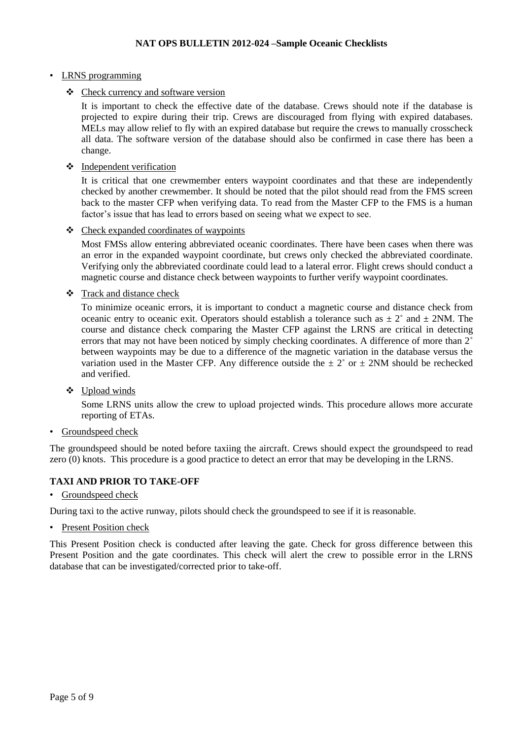#### • LRNS programming

Check currency and software version

It is important to check the effective date of the database. Crews should note if the database is projected to expire during their trip. Crews are discouraged from flying with expired databases. MELs may allow relief to fly with an expired database but require the crews to manually crosscheck all data. The software version of the database should also be confirmed in case there has been a change.

Independent verification

It is critical that one crewmember enters waypoint coordinates and that these are independently checked by another crewmember. It should be noted that the pilot should read from the FMS screen back to the master CFP when verifying data. To read from the Master CFP to the FMS is a human factor's issue that has lead to errors based on seeing what we expect to see.

Check expanded coordinates of waypoints

Most FMSs allow entering abbreviated oceanic coordinates. There have been cases when there was an error in the expanded waypoint coordinate, but crews only checked the abbreviated coordinate. Verifying only the abbreviated coordinate could lead to a lateral error. Flight crews should conduct a magnetic course and distance check between waypoints to further verify waypoint coordinates.

Track and distance check

To minimize oceanic errors, it is important to conduct a magnetic course and distance check from oceanic entry to oceanic exit. Operators should establish a tolerance such as  $\pm 2^{\circ}$  and  $\pm 2NM$ . The course and distance check comparing the Master CFP against the LRNS are critical in detecting errors that may not have been noticed by simply checking coordinates. A difference of more than 2˚ between waypoints may be due to a difference of the magnetic variation in the database versus the variation used in the Master CFP. Any difference outside the  $\pm 2^{\circ}$  or  $\pm 2NM$  should be rechecked and verified.

Upload winds

Some LRNS units allow the crew to upload projected winds. This procedure allows more accurate reporting of ETAs.

• Groundspeed check

The groundspeed should be noted before taxiing the aircraft. Crews should expect the groundspeed to read zero (0) knots. This procedure is a good practice to detect an error that may be developing in the LRNS.

#### <span id="page-4-0"></span>**TAXI AND PRIOR TO TAKE-OFF**

• Groundspeed check

During taxi to the active runway, pilots should check the groundspeed to see if it is reasonable.

• Present Position check

This Present Position check is conducted after leaving the gate. Check for gross difference between this Present Position and the gate coordinates. This check will alert the crew to possible error in the LRNS database that can be investigated/corrected prior to take-off.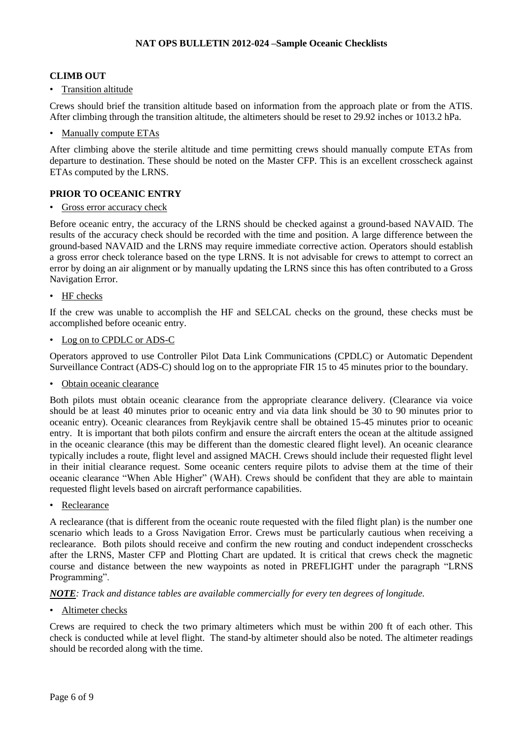#### <span id="page-5-0"></span>**CLIMB OUT**

• Transition altitude

Crews should brief the transition altitude based on information from the approach plate or from the ATIS. After climbing through the transition altitude, the altimeters should be reset to 29.92 inches or 1013.2 hPa.

• Manually compute ETAs

After climbing above the sterile altitude and time permitting crews should manually compute ETAs from departure to destination. These should be noted on the Master CFP. This is an excellent crosscheck against ETAs computed by the LRNS.

### <span id="page-5-1"></span>**PRIOR TO OCEANIC ENTRY**

• Gross error accuracy check

Before oceanic entry, the accuracy of the LRNS should be checked against a ground-based NAVAID. The results of the accuracy check should be recorded with the time and position. A large difference between the ground-based NAVAID and the LRNS may require immediate corrective action. Operators should establish a gross error check tolerance based on the type LRNS. It is not advisable for crews to attempt to correct an error by doing an air alignment or by manually updating the LRNS since this has often contributed to a Gross Navigation Error.

• HF checks

If the crew was unable to accomplish the HF and SELCAL checks on the ground, these checks must be accomplished before oceanic entry.

• Log on to CPDLC or ADS-C

Operators approved to use Controller Pilot Data Link Communications (CPDLC) or Automatic Dependent Surveillance Contract (ADS-C) should log on to the appropriate FIR 15 to 45 minutes prior to the boundary.

• Obtain oceanic clearance

Both pilots must obtain oceanic clearance from the appropriate clearance delivery. (Clearance via voice should be at least 40 minutes prior to oceanic entry and via data link should be 30 to 90 minutes prior to oceanic entry). Oceanic clearances from Reykjavik centre shall be obtained 15-45 minutes prior to oceanic entry. It is important that both pilots confirm and ensure the aircraft enters the ocean at the altitude assigned in the oceanic clearance (this may be different than the domestic cleared flight level). An oceanic clearance typically includes a route, flight level and assigned MACH. Crews should include their requested flight level in their initial clearance request. Some oceanic centers require pilots to advise them at the time of their oceanic clearance "When Able Higher" (WAH). Crews should be confident that they are able to maintain requested flight levels based on aircraft performance capabilities.

• Reclearance

A reclearance (that is different from the oceanic route requested with the filed flight plan) is the number one scenario which leads to a Gross Navigation Error. Crews must be particularly cautious when receiving a reclearance. Both pilots should receive and confirm the new routing and conduct independent crosschecks after the LRNS, Master CFP and Plotting Chart are updated. It is critical that crews check the magnetic course and distance between the new waypoints as noted in PREFLIGHT under the paragraph "LRNS Programming".

*NOTE: Track and distance tables are available commercially for every ten degrees of longitude.*

#### • Altimeter checks

Crews are required to check the two primary altimeters which must be within 200 ft of each other. This check is conducted while at level flight. The stand-by altimeter should also be noted. The altimeter readings should be recorded along with the time.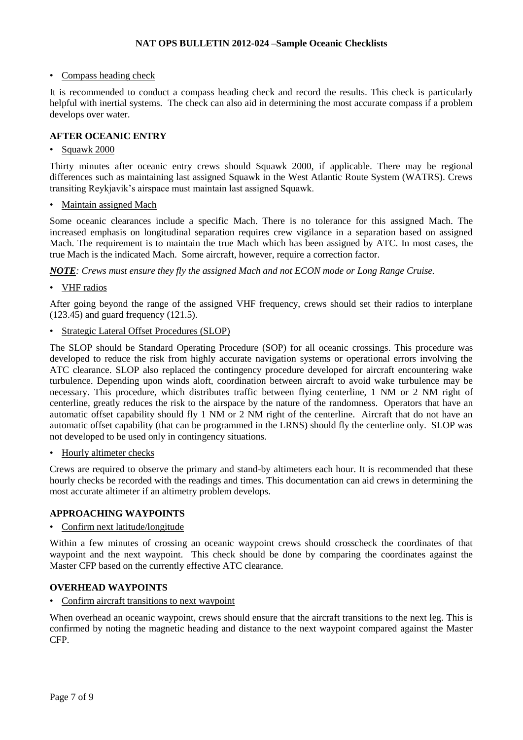#### • Compass heading check

It is recommended to conduct a compass heading check and record the results. This check is particularly helpful with inertial systems. The check can also aid in determining the most accurate compass if a problem develops over water.

#### <span id="page-6-0"></span>**AFTER OCEANIC ENTRY**

#### • Squawk 2000

Thirty minutes after oceanic entry crews should Squawk 2000, if applicable. There may be regional differences such as maintaining last assigned Squawk in the West Atlantic Route System (WATRS). Crews transiting Reykjavik's airspace must maintain last assigned Squawk.

• Maintain assigned Mach

Some oceanic clearances include a specific Mach. There is no tolerance for this assigned Mach. The increased emphasis on longitudinal separation requires crew vigilance in a separation based on assigned Mach. The requirement is to maintain the true Mach which has been assigned by ATC. In most cases, the true Mach is the indicated Mach. Some aircraft, however, require a correction factor.

*NOTE: Crews must ensure they fly the assigned Mach and not ECON mode or Long Range Cruise.*

• VHF radios

After going beyond the range of the assigned VHF frequency, crews should set their radios to interplane (123.45) and guard frequency (121.5).

• Strategic Lateral Offset Procedures (SLOP)

The SLOP should be Standard Operating Procedure (SOP) for all oceanic crossings. This procedure was developed to reduce the risk from highly accurate navigation systems or operational errors involving the ATC clearance. SLOP also replaced the contingency procedure developed for aircraft encountering wake turbulence. Depending upon winds aloft, coordination between aircraft to avoid wake turbulence may be necessary. This procedure, which distributes traffic between flying centerline, 1 NM or 2 NM right of centerline, greatly reduces the risk to the airspace by the nature of the randomness. Operators that have an automatic offset capability should fly 1 NM or 2 NM right of the centerline. Aircraft that do not have an automatic offset capability (that can be programmed in the LRNS) should fly the centerline only. SLOP was not developed to be used only in contingency situations.

• Hourly altimeter checks

Crews are required to observe the primary and stand-by altimeters each hour. It is recommended that these hourly checks be recorded with the readings and times. This documentation can aid crews in determining the most accurate altimeter if an altimetry problem develops.

#### <span id="page-6-1"></span>**APPROACHING WAYPOINTS**

• Confirm next latitude/longitude

Within a few minutes of crossing an oceanic waypoint crews should crosscheck the coordinates of that waypoint and the next waypoint. This check should be done by comparing the coordinates against the Master CFP based on the currently effective ATC clearance.

#### <span id="page-6-2"></span>**OVERHEAD WAYPOINTS**

• Confirm aircraft transitions to next waypoint

When overhead an oceanic waypoint, crews should ensure that the aircraft transitions to the next leg. This is confirmed by noting the magnetic heading and distance to the next waypoint compared against the Master CFP.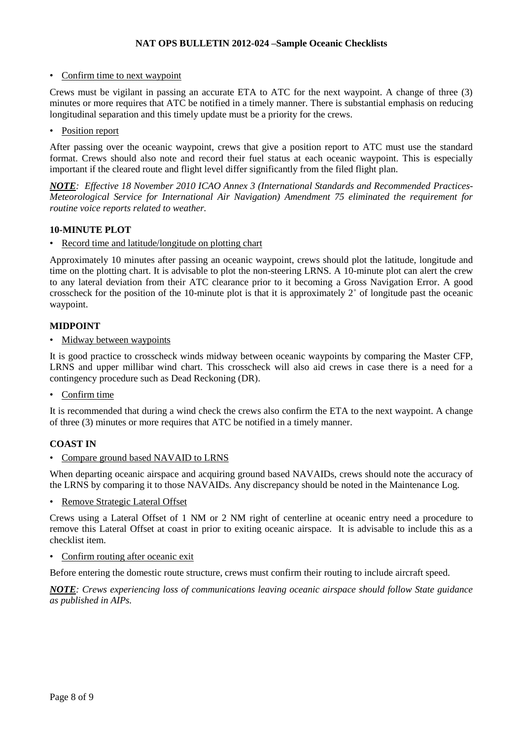• Confirm time to next waypoint

Crews must be vigilant in passing an accurate ETA to ATC for the next waypoint. A change of three (3) minutes or more requires that ATC be notified in a timely manner. There is substantial emphasis on reducing longitudinal separation and this timely update must be a priority for the crews.

• Position report

After passing over the oceanic waypoint, crews that give a position report to ATC must use the standard format. Crews should also note and record their fuel status at each oceanic waypoint. This is especially important if the cleared route and flight level differ significantly from the filed flight plan.

*NOTE: Effective 18 November 2010 ICAO Annex 3 (International Standards and Recommended Practices-Meteorological Service for International Air Navigation) Amendment 75 eliminated the requirement for routine voice reports related to weather.*

#### <span id="page-7-0"></span>**10-MINUTE PLOT**

• Record time and latitude/longitude on plotting chart

Approximately 10 minutes after passing an oceanic waypoint, crews should plot the latitude, longitude and time on the plotting chart. It is advisable to plot the non-steering LRNS. A 10-minute plot can alert the crew to any lateral deviation from their ATC clearance prior to it becoming a Gross Navigation Error. A good crosscheck for the position of the 10-minute plot is that it is approximately 2˚ of longitude past the oceanic waypoint.

#### <span id="page-7-1"></span>**MIDPOINT**

• Midway between waypoints

It is good practice to crosscheck winds midway between oceanic waypoints by comparing the Master CFP, LRNS and upper millibar wind chart. This crosscheck will also aid crews in case there is a need for a contingency procedure such as Dead Reckoning (DR).

• Confirm time

It is recommended that during a wind check the crews also confirm the ETA to the next waypoint. A change of three (3) minutes or more requires that ATC be notified in a timely manner.

#### <span id="page-7-2"></span>**COAST IN**

• Compare ground based NAVAID to LRNS

When departing oceanic airspace and acquiring ground based NAVAIDs, crews should note the accuracy of the LRNS by comparing it to those NAVAIDs. Any discrepancy should be noted in the Maintenance Log.

• Remove Strategic Lateral Offset

Crews using a Lateral Offset of 1 NM or 2 NM right of centerline at oceanic entry need a procedure to remove this Lateral Offset at coast in prior to exiting oceanic airspace. It is advisable to include this as a checklist item.

#### • Confirm routing after oceanic exit

Before entering the domestic route structure, crews must confirm their routing to include aircraft speed.

*NOTE: Crews experiencing loss of communications leaving oceanic airspace should follow State guidance as published in AIPs.*